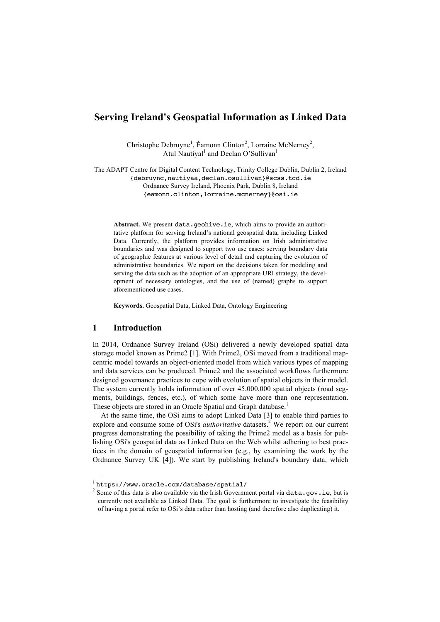# **Serving Ireland's Geospatial Information as Linked Data**

Christophe Debruyne<sup>1</sup>, Éamonn Clinton<sup>2</sup>, Lorraine McNerney<sup>2</sup>, Atul Nautival<sup>1</sup> and Declan O'Sullivan<sup>1</sup>

The ADAPT Centre for Digital Content Technology, Trinity College Dublin, Dublin 2, Ireland {debruync,nautiyaa,declan.osullivan}@scss.tcd.ie Ordnance Survey Ireland, Phoenix Park, Dublin 8, Ireland {eamonn.clinton,lorraine.mcnerney}@osi.ie

Abstract. We present data.geohive.ie, which aims to provide an authoritative platform for serving Ireland's national geospatial data, including Linked Data. Currently, the platform provides information on Irish administrative boundaries and was designed to support two use cases: serving boundary data of geographic features at various level of detail and capturing the evolution of administrative boundaries. We report on the decisions taken for modeling and serving the data such as the adoption of an appropriate URI strategy, the development of necessary ontologies, and the use of (named) graphs to support aforementioned use cases.

**Keywords.** Geospatial Data, Linked Data, Ontology Engineering

## **1 Introduction**

In 2014, Ordnance Survey Ireland (OSi) delivered a newly developed spatial data storage model known as Prime2 [1]. With Prime2, OSi moved from a traditional mapcentric model towards an object-oriented model from which various types of mapping and data services can be produced. Prime2 and the associated workflows furthermore designed governance practices to cope with evolution of spatial objects in their model. The system currently holds information of over 45,000,000 spatial objects (road segments, buildings, fences, etc.), of which some have more than one representation. These objects are stored in an Oracle Spatial and Graph database.<sup>1</sup>

At the same time, the OSi aims to adopt Linked Data [3] to enable third parties to explore and consume some of OSi's *authoritative* datasets.<sup>2</sup> We report on our current progress demonstrating the possibility of taking the Prime2 model as a basis for publishing OSi's geospatial data as Linked Data on the Web whilst adhering to best practices in the domain of geospatial information (e.g., by examining the work by the Ordnance Survey UK [4]). We start by publishing Ireland's boundary data, which

 <sup>1</sup> https://www.oracle.com/database/spatial/

<sup>&</sup>lt;sup>2</sup> Some of this data is also available via the Irish Government portal via data.gov.ie, but is currently not available as Linked Data. The goal is furthermore to investigate the feasibility of having a portal refer to OSi's data rather than hosting (and therefore also duplicating) it.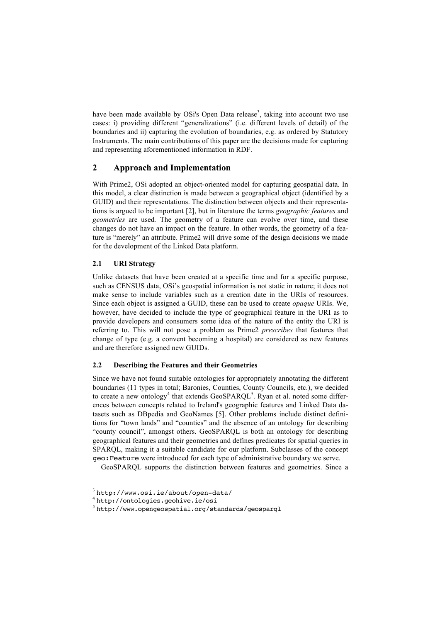have been made available by OSi's Open Data release<sup>3</sup>, taking into account two use cases: i) providing different "generalizations" (i.e. different levels of detail) of the boundaries and ii) capturing the evolution of boundaries, e.g. as ordered by Statutory Instruments. The main contributions of this paper are the decisions made for capturing and representing aforementioned information in RDF.

# **2 Approach and Implementation**

With Prime2, OSi adopted an object-oriented model for capturing geospatial data. In this model, a clear distinction is made between a geographical object (identified by a GUID) and their representations. The distinction between objects and their representations is argued to be important [2], but in literature the terms *geographic features* and *geometries* are used*.* The geometry of a feature can evolve over time, and these changes do not have an impact on the feature. In other words, the geometry of a feature is "merely" an attribute. Prime2 will drive some of the design decisions we made for the development of the Linked Data platform.

## **2.1 URI Strategy**

Unlike datasets that have been created at a specific time and for a specific purpose, such as CENSUS data, OSi's geospatial information is not static in nature; it does not make sense to include variables such as a creation date in the URIs of resources. Since each object is assigned a GUID, these can be used to create *opaque* URIs. We, however, have decided to include the type of geographical feature in the URI as to provide developers and consumers some idea of the nature of the entity the URI is referring to. This will not pose a problem as Prime2 *prescribes* that features that change of type (e.g. a convent becoming a hospital) are considered as new features and are therefore assigned new GUIDs.

#### **2.2 Describing the Features and their Geometries**

Since we have not found suitable ontologies for appropriately annotating the different boundaries (11 types in total; Baronies, Counties, County Councils, etc.), we decided to create a new ontology<sup>4</sup> that extends  $GeoSPARCL<sup>5</sup>$ . Ryan et al. noted some differences between concepts related to Ireland's geographic features and Linked Data datasets such as DBpedia and GeoNames [5]. Other problems include distinct definitions for "town lands" and "counties" and the absence of an ontology for describing "county council", amongst others. GeoSPARQL is both an ontology for describing geographical features and their geometries and defines predicates for spatial queries in SPARQL, making it a suitable candidate for our platform. Subclasses of the concept geo:Feature were introduced for each type of administrative boundary we serve.

GeoSPARQL supports the distinction between features and geometries. Since a

 $3$ http://www.osi.ie/about/open-data/<br> $4$ http://ontologies.geohive.ie/osi

<sup>5</sup> http://www.opengeospatial.org/standards/geosparql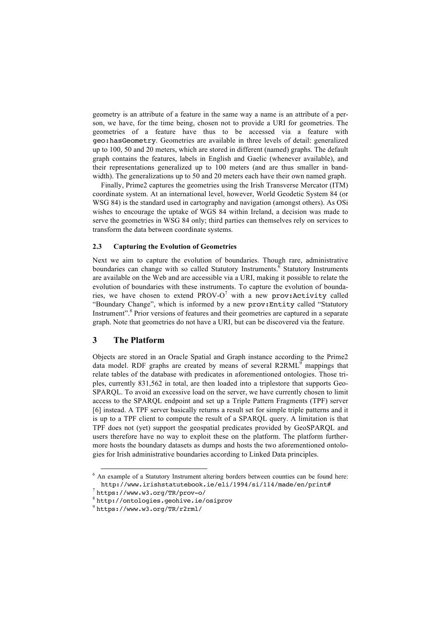geometry is an attribute of a feature in the same way a name is an attribute of a person, we have, for the time being, chosen not to provide a URI for geometries. The geometries of a feature have thus to be accessed via a feature with geo:hasGeometry. Geometries are available in three levels of detail: generalized up to 100, 50 and 20 meters, which are stored in different (named) graphs. The default graph contains the features, labels in English and Gaelic (whenever available), and their representations generalized up to 100 meters (and are thus smaller in bandwidth). The generalizations up to 50 and 20 meters each have their own named graph.

Finally, Prime2 captures the geometries using the Irish Transverse Mercator (ITM) coordinate system. At an international level, however, World Geodetic System 84 (or WSG 84) is the standard used in cartography and navigation (amongst others). As OSi wishes to encourage the uptake of WGS 84 within Ireland, a decision was made to serve the geometries in WSG 84 only; third parties can themselves rely on services to transform the data between coordinate systems.

## **2.3 Capturing the Evolution of Geometries**

Next we aim to capture the evolution of boundaries. Though rare, administrative boundaries can change with so called Statutory Instruments.<sup> $\delta$ </sup> Statutory Instruments are available on the Web and are accessible via a URI, making it possible to relate the evolution of boundaries with these instruments. To capture the evolution of boundaries, we have chosen to extend PROV- $O<sup>7</sup>$  with a new prov:Activity called "Boundary Change", which is informed by a new prov:Entity called "Statutory Instrument".<sup>8</sup> Prior versions of features and their geometries are captured in a separate graph. Note that geometries do not have a URI, but can be discovered via the feature.

## **3 The Platform**

Objects are stored in an Oracle Spatial and Graph instance according to the Prime2 data model. RDF graphs are created by means of several R2RML<sup>9</sup> mappings that relate tables of the database with predicates in aforementioned ontologies. Those triples, currently 831,562 in total, are then loaded into a triplestore that supports Geo-SPARQL. To avoid an excessive load on the server, we have currently chosen to limit access to the SPARQL endpoint and set up a Triple Pattern Fragments (TPF) server [6] instead. A TPF server basically returns a result set for simple triple patterns and it is up to a TPF client to compute the result of a SPARQL query. A limitation is that TPF does not (yet) support the geospatial predicates provided by GeoSPARQL and users therefore have no way to exploit these on the platform. The platform furthermore hosts the boundary datasets as dumps and hosts the two aforementioned ontologies for Irish administrative boundaries according to Linked Data principles.

 <sup>6</sup> An example of a Statutory Instrument altering borders between counties can be found here: http://www.irishstatutebook.ie/eli/1994/si/114/made/en/print# 7 https://www.w3.org/TR/prov-o/ 8 http://ontologies.geohive.ie/osiprov

<sup>9</sup> https://www.w3.org/TR/r2rml/